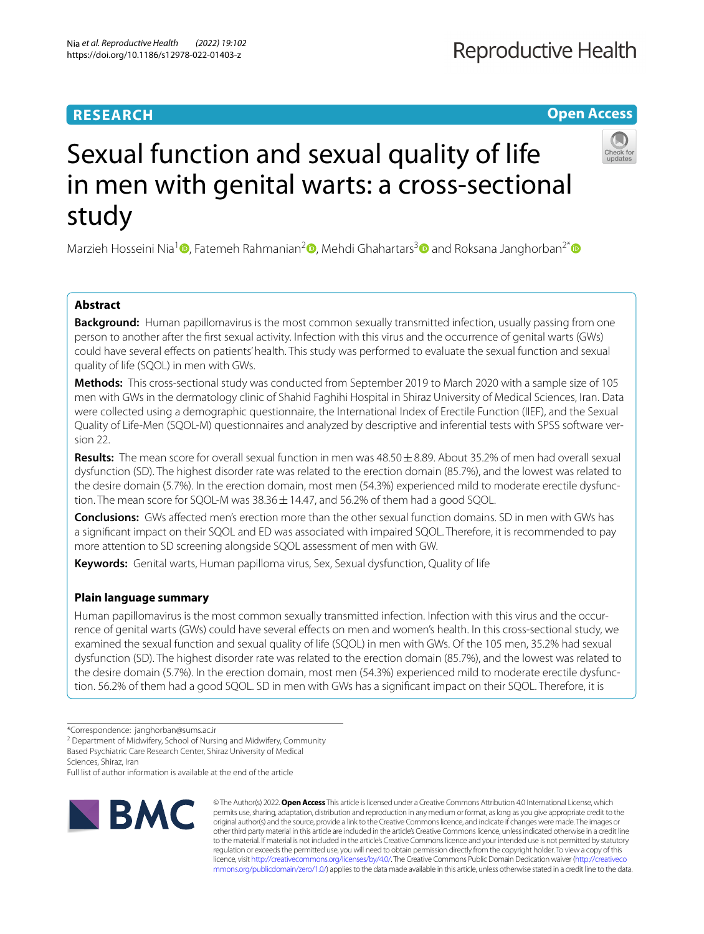# **RESEARCH**

# **Open Access**



# Sexual function and sexual quality of life in men with genital warts: a cross-sectional study

Marzieh Hosseini Nia<sup>1</sup><sup>.</sup>[,](http://orcid.org/0000-0003-0501-3225) Fatemeh Rahmanian<sup>2</sup><sup>.</sup>[,](http://orcid.org/0000-0003-4270-5554) Mehdi Ghahartars<sup>[3](http://orcid.org/0000-0003-3218-1988)</sup> and Roksana Janghorban<sup>2[\\*](http://orcid.org/0000-0002-7831-8401)</sup>

# **Abstract**

**Background:** Human papillomavirus is the most common sexually transmitted infection, usually passing from one person to another after the frst sexual activity. Infection with this virus and the occurrence of genital warts (GWs) could have several efects on patients' health. This study was performed to evaluate the sexual function and sexual quality of life (SQOL) in men with GWs.

**Methods:** This cross-sectional study was conducted from September 2019 to March 2020 with a sample size of 105 men with GWs in the dermatology clinic of Shahid Faghihi Hospital in Shiraz University of Medical Sciences, Iran. Data were collected using a demographic questionnaire, the International Index of Erectile Function (IIEF), and the Sexual Quality of Life-Men (SQOL-M) questionnaires and analyzed by descriptive and inferential tests with SPSS software version 22.

**Results:** The mean score for overall sexual function in men was 48.50±8.89. About 35.2% of men had overall sexual dysfunction (SD). The highest disorder rate was related to the erection domain (85.7%), and the lowest was related to the desire domain (5.7%). In the erection domain, most men (54.3%) experienced mild to moderate erectile dysfunction. The mean score for SQOL-M was  $38.36 \pm 14.47$ , and  $56.2\%$  of them had a good SQOL.

**Conclusions:** GWs afected men's erection more than the other sexual function domains. SD in men with GWs has a signifcant impact on their SQOL and ED was associated with impaired SQOL. Therefore, it is recommended to pay more attention to SD screening alongside SQOL assessment of men with GW.

**Keywords:** Genital warts, Human papilloma virus, Sex, Sexual dysfunction, Quality of life

# **Plain language summary**

Human papillomavirus is the most common sexually transmitted infection. Infection with this virus and the occurrence of genital warts (GWs) could have several efects on men and women's health. In this cross-sectional study, we examined the sexual function and sexual quality of life (SQOL) in men with GWs. Of the 105 men, 35.2% had sexual dysfunction (SD). The highest disorder rate was related to the erection domain (85.7%), and the lowest was related to the desire domain (5.7%). In the erection domain, most men (54.3%) experienced mild to moderate erectile dysfunction. 56.2% of them had a good SQOL. SD in men with GWs has a signifcant impact on their SQOL. Therefore, it is

<sup>2</sup> Department of Midwifery, School of Nursing and Midwifery, Community

Based Psychiatric Care Research Center, Shiraz University of Medical

Sciences, Shiraz, Iran

Full list of author information is available at the end of the article



© The Author(s) 2022. **Open Access** This article is licensed under a Creative Commons Attribution 4.0 International License, which permits use, sharing, adaptation, distribution and reproduction in any medium or format, as long as you give appropriate credit to the original author(s) and the source, provide a link to the Creative Commons licence, and indicate if changes were made. The images or other third party material in this article are included in the article's Creative Commons licence, unless indicated otherwise in a credit line to the material. If material is not included in the article's Creative Commons licence and your intended use is not permitted by statutory regulation or exceeds the permitted use, you will need to obtain permission directly from the copyright holder. To view a copy of this licence, visit [http://creativecommons.org/licenses/by/4.0/.](http://creativecommons.org/licenses/by/4.0/) The Creative Commons Public Domain Dedication waiver ([http://creativeco](http://creativecommons.org/publicdomain/zero/1.0/) [mmons.org/publicdomain/zero/1.0/](http://creativecommons.org/publicdomain/zero/1.0/)) applies to the data made available in this article, unless otherwise stated in a credit line to the data.

<sup>\*</sup>Correspondence: janghorban@sums.ac.ir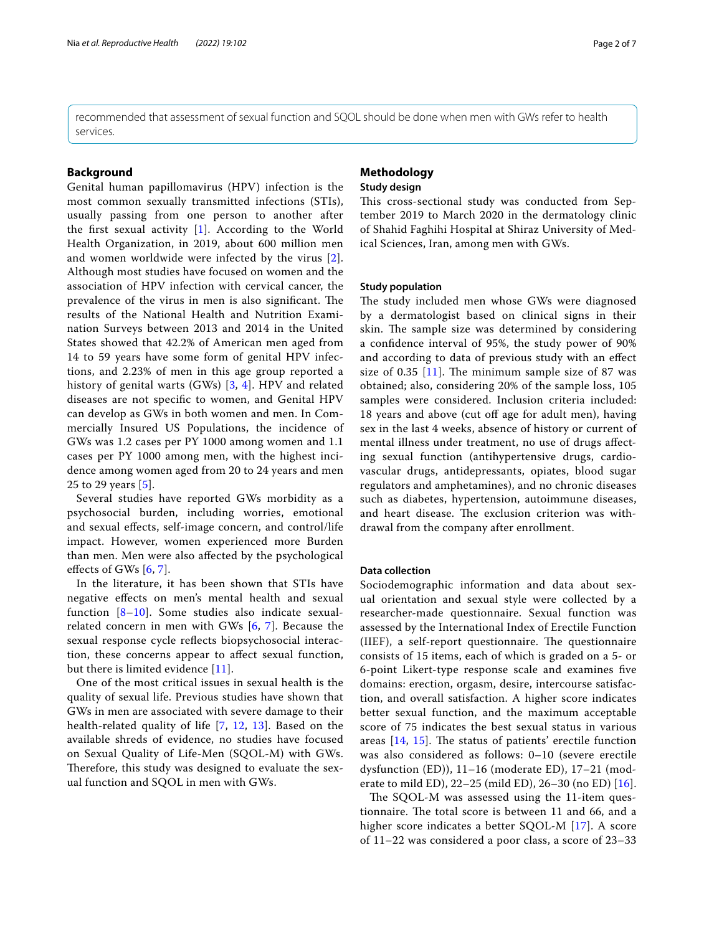recommended that assessment of sexual function and SQOL should be done when men with GWs refer to health services.

### **Background**

Genital human papillomavirus (HPV) infection is the most common sexually transmitted infections (STIs), usually passing from one person to another after the frst sexual activity [\[1](#page-5-0)]. According to the World Health Organization, in 2019, about 600 million men and women worldwide were infected by the virus [[2\]](#page-5-1). Although most studies have focused on women and the association of HPV infection with cervical cancer, the prevalence of the virus in men is also significant. The results of the National Health and Nutrition Examination Surveys between 2013 and 2014 in the United States showed that 42.2% of American men aged from 14 to 59 years have some form of genital HPV infections, and 2.23% of men in this age group reported a history of genital warts (GWs) [[3](#page-5-2), [4\]](#page-5-3). HPV and related diseases are not specifc to women, and Genital HPV can develop as GWs in both women and men. In Commercially Insured US Populations, the incidence of GWs was 1.2 cases per PY 1000 among women and 1.1 cases per PY 1000 among men, with the highest incidence among women aged from 20 to 24 years and men 25 to 29 years [\[5](#page-5-4)].

Several studies have reported GWs morbidity as a psychosocial burden, including worries, emotional and sexual efects, self-image concern, and control/life impact. However, women experienced more Burden than men. Men were also afected by the psychological effects of GWs  $[6, 7]$  $[6, 7]$  $[6, 7]$  $[6, 7]$ .

In the literature, it has been shown that STIs have negative efects on men's mental health and sexual function [[8–](#page-5-7)[10\]](#page-5-8). Some studies also indicate sexualrelated concern in men with GWs [[6](#page-5-5), [7\]](#page-5-6). Because the sexual response cycle refects biopsychosocial interaction, these concerns appear to afect sexual function, but there is limited evidence [[11](#page-5-9)].

One of the most critical issues in sexual health is the quality of sexual life. Previous studies have shown that GWs in men are associated with severe damage to their health-related quality of life [[7,](#page-5-6) [12](#page-5-10), [13\]](#page-5-11). Based on the available shreds of evidence, no studies have focused on Sexual Quality of Life-Men (SQOL-M) with GWs. Therefore, this study was designed to evaluate the sexual function and SQOL in men with GWs.

# **Methodology**

## **Study design**

This cross-sectional study was conducted from September 2019 to March 2020 in the dermatology clinic of Shahid Faghihi Hospital at Shiraz University of Medical Sciences, Iran, among men with GWs.

#### **Study population**

The study included men whose GWs were diagnosed by a dermatologist based on clinical signs in their skin. The sample size was determined by considering a confdence interval of 95%, the study power of 90% and according to data of previous study with an efect size of 0.35  $[11]$  $[11]$ . The minimum sample size of 87 was obtained; also, considering 20% of the sample loss, 105 samples were considered. Inclusion criteria included: 18 years and above (cut off age for adult men), having sex in the last 4 weeks, absence of history or current of mental illness under treatment, no use of drugs afecting sexual function (antihypertensive drugs, cardiovascular drugs, antidepressants, opiates, blood sugar regulators and amphetamines), and no chronic diseases such as diabetes, hypertension, autoimmune diseases, and heart disease. The exclusion criterion was withdrawal from the company after enrollment.

#### **Data collection**

Sociodemographic information and data about sexual orientation and sexual style were collected by a researcher-made questionnaire. Sexual function was assessed by the International Index of Erectile Function (IIEF), a self-report questionnaire. The questionnaire consists of 15 items, each of which is graded on a 5- or 6-point Likert-type response scale and examines fve domains: erection, orgasm, desire, intercourse satisfaction, and overall satisfaction. A higher score indicates better sexual function, and the maximum acceptable score of 75 indicates the best sexual status in various areas  $[14, 15]$  $[14, 15]$  $[14, 15]$ . The status of patients' erectile function was also considered as follows: 0–10 (severe erectile dysfunction (ED)), 11–16 (moderate ED), 17–21 (moderate to mild ED), 22–25 (mild ED), 26–30 (no ED) [[16](#page-5-14)].

The SQOL-M was assessed using the 11-item questionnaire. The total score is between 11 and 66, and a higher score indicates a better SQOL-M [\[17](#page-5-15)]. A score of 11–22 was considered a poor class, a score of 23–33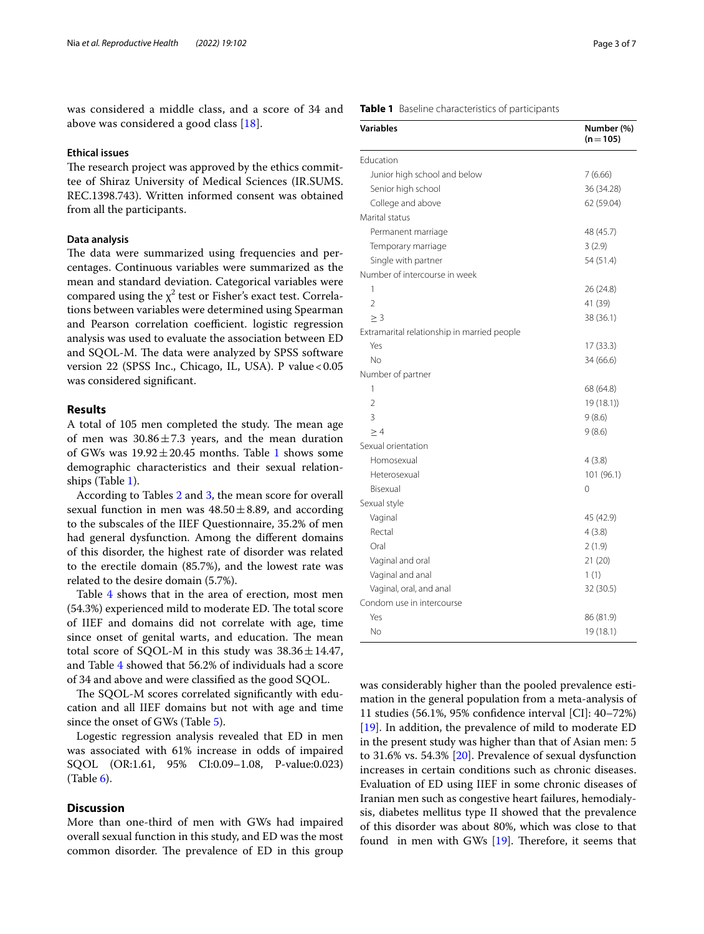was considered a middle class, and a score of 34 and above was considered a good class [[18\]](#page-5-16).

### **Ethical issues**

The research project was approved by the ethics committee of Shiraz University of Medical Sciences (IR.SUMS. REC.1398.743). Written informed consent was obtained from all the participants.

#### **Data analysis**

The data were summarized using frequencies and percentages. Continuous variables were summarized as the mean and standard deviation. Categorical variables were compared using the  $\chi^2$  test or Fisher's exact test. Correlations between variables were determined using Spearman and Pearson correlation coefficient. logistic regression analysis was used to evaluate the association between ED and SQOL-M. The data were analyzed by SPSS software version 22 (SPSS Inc., Chicago, IL, USA). P value  $<0.05$ was considered signifcant.

### **Results**

A total of 105 men completed the study. The mean age of men was  $30.86 \pm 7.3$  years, and the mean duration of GWs was  $19.92 \pm 20.45$  months. Table [1](#page-2-0) shows some demographic characteristics and their sexual relationships (Table [1\)](#page-2-0).

According to Tables [2](#page-3-0) and [3](#page-3-1), the mean score for overall sexual function in men was  $48.50 \pm 8.89$ , and according to the subscales of the IIEF Questionnaire, 35.2% of men had general dysfunction. Among the diferent domains of this disorder, the highest rate of disorder was related to the erectile domain (85.7%), and the lowest rate was related to the desire domain (5.7%).

Table [4](#page-3-2) shows that in the area of erection, most men (54.3%) experienced mild to moderate ED. The total score of IIEF and domains did not correlate with age, time since onset of genital warts, and education. The mean total score of SQOL-M in this study was  $38.36 \pm 14.47$ , and Table [4](#page-3-2) showed that 56.2% of individuals had a score of 34 and above and were classifed as the good SQOL.

The SQOL-M scores correlated significantly with education and all IIEF domains but not with age and time since the onset of GWs (Table [5\)](#page-3-3).

Logestic regression analysis revealed that ED in men was associated with 61% increase in odds of impaired SQOL (OR:1.61, 95% CI:0.09–1.08, P-value:0.023) (Table [6](#page-4-0)).

#### **Discussion**

More than one-third of men with GWs had impaired overall sexual function in this study, and ED was the most common disorder. The prevalence of ED in this group

#### <span id="page-2-0"></span>**Table 1** Baseline characteristics of participants

| <b>Variables</b>                            | Number (%)<br>$(n = 105)$ |
|---------------------------------------------|---------------------------|
| Education                                   |                           |
| Junior high school and below                | 7(6.66)                   |
| Senior high school                          | 36 (34.28)                |
| College and above                           | 62 (59.04)                |
| Marital status                              |                           |
| Permanent marriage                          | 48 (45.7)                 |
| Temporary marriage                          | 3(2.9)                    |
| Single with partner                         | 54 (51.4)                 |
| Number of intercourse in week               |                           |
| 1                                           | 26 (24.8)                 |
| $\overline{2}$                              | 41 (39)                   |
| $\geq 3$                                    | 38 (36.1)                 |
| Extramarital relationship in married people |                           |
| Yes                                         | 17 (33.3)                 |
| No                                          | 34 (66.6)                 |
| Number of partner                           |                           |
| 1                                           | 68 (64.8)                 |
| $\overline{2}$                              | 19 (18.1))                |
| 3                                           | 9(8.6)                    |
| $\geq 4$                                    | 9(8.6)                    |
| Sexual orientation                          |                           |
| Homosexual                                  | 4(3.8)                    |
| Heterosexual                                | 101 (96.1)                |
| Bisexual                                    | 0                         |
| Sexual style                                |                           |
| Vaginal                                     | 45 (42.9)                 |
| Rectal                                      | 4(3.8)                    |
| Oral                                        | 2(1.9)                    |
| Vaginal and oral                            | 21(20)                    |
| Vaginal and anal                            | 1(1)                      |
| Vaginal, oral, and anal                     | 32 (30.5)                 |
| Condom use in intercourse                   |                           |
| Yes                                         | 86 (81.9)                 |
| No                                          | 19 (18.1)                 |

was considerably higher than the pooled prevalence estimation in the general population from a meta-analysis of 11 studies (56.1%, 95% confdence interval [CI]: 40–72%) [[19\]](#page-5-17). In addition, the prevalence of mild to moderate ED in the present study was higher than that of Asian men: 5 to 31.6% vs. 54.3% [[20\]](#page-5-18). Prevalence of sexual dysfunction increases in certain conditions such as chronic diseases. Evaluation of ED using IIEF in some chronic diseases of Iranian men such as congestive heart failures, hemodialysis, diabetes mellitus type II showed that the prevalence of this disorder was about 80%, which was close to that found in men with GWs  $[19]$  $[19]$ . Therefore, it seems that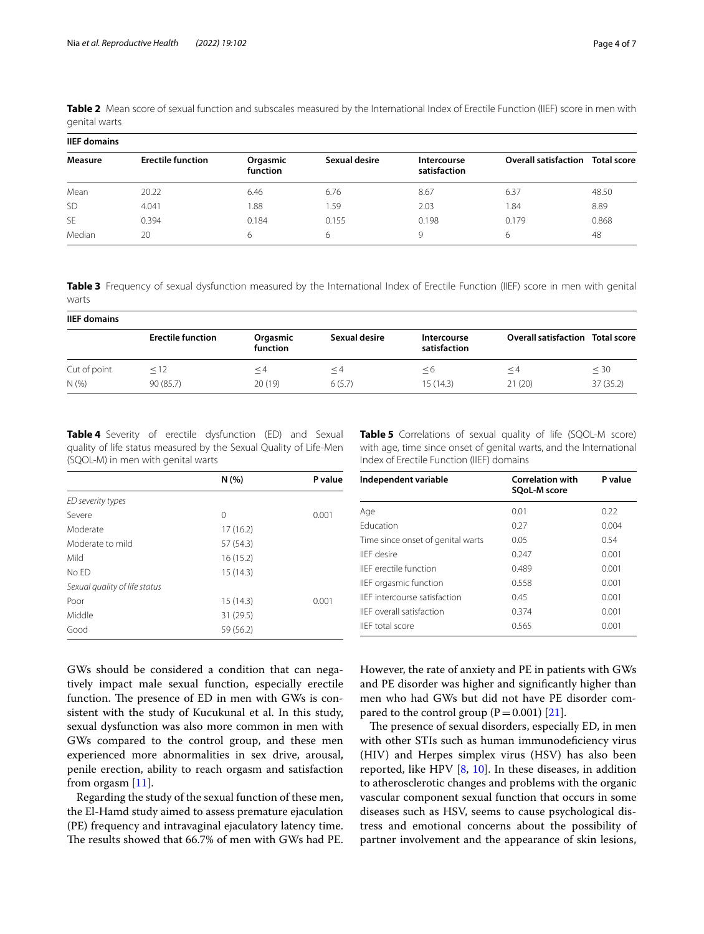| <b>IIEF domains</b> |                          |                      |               |                             |                             |                    |
|---------------------|--------------------------|----------------------|---------------|-----------------------------|-----------------------------|--------------------|
| Measure             | <b>Erectile function</b> | Orgasmic<br>function | Sexual desire | Intercourse<br>satisfaction | <b>Overall satisfaction</b> | <b>Total score</b> |
| Mean                | 20.22                    | 6.46                 | 6.76          | 8.67                        | 6.37                        | 48.50              |
| <b>SD</b>           | 4.041                    | 1.88                 | 1.59          | 2.03                        | 84. ا                       | 8.89               |
| <b>SE</b>           | 0.394                    | 0.184                | 0.155         | 0.198                       | 0.179                       | 0.868              |
| Median              | 20                       | 6                    | 6             | 9                           | 6                           | 48                 |

<span id="page-3-0"></span>**Table 2** Mean score of sexual function and subscales measured by the International Index of Erectile Function (IIEF) score in men with genital warts

<span id="page-3-1"></span>**Table 3** Frequency of sexual dysfunction measured by the International Index of Erectile Function (IIEF) score in men with genital warts

| <b>IIEF domains</b> |                          |                      |               |                             |                                         |           |
|---------------------|--------------------------|----------------------|---------------|-----------------------------|-----------------------------------------|-----------|
|                     | <b>Erectile function</b> | Orgasmic<br>function | Sexual desire | Intercourse<br>satisfaction | <b>Overall satisfaction Total score</b> |           |
| Cut of point        | < 12                     | $\leq 4$             | ≤4            | $\leq$ 6                    | $\leq$ 4                                | $\leq 30$ |
| N(%                 | 90(85.7)                 | 20(19)               | 6(5.7)        | 15(14.3)                    | 21(20)                                  | 37(35.2)  |

<span id="page-3-2"></span>**Table 4** Severity of erectile dysfunction (ED) and Sexual quality of life status measured by the Sexual Quality of Life-Men (SQOL-M) in men with genital warts

|                               | N(%       | P value |
|-------------------------------|-----------|---------|
| ED severity types             |           |         |
| Severe                        | 0         | 0.001   |
| Moderate                      | 17(16.2)  |         |
| Moderate to mild              | 57 (54.3) |         |
| Mild                          | 16(15.2)  |         |
| No ED                         | 15(14.3)  |         |
| Sexual quality of life status |           |         |
| Poor                          | 15(14.3)  | 0.001   |
| Middle                        | 31 (29.5) |         |
| Good                          | 59 (56.2) |         |

<span id="page-3-3"></span>**Table 5** Correlations of sexual quality of life (SQOL-M score) with age, time since onset of genital warts, and the International Index of Erectile Function (IIEF) domains

| Independent variable                 | <b>Correlation with</b><br>SQoL-M score | P value |
|--------------------------------------|-----------------------------------------|---------|
| Age                                  | 0.01                                    | 0.22    |
| <b>Education</b>                     | 0.27                                    | 0.004   |
| Time since onset of genital warts    | 0.05                                    | 0.54    |
| <b>IIFF</b> desire                   | 0.247                                   | 0.001   |
| <b>IIFF</b> erectile function        | 0.489                                   | 0.001   |
| IIEF orgasmic function               | 0.558                                   | 0.001   |
| <b>IIFF</b> intercourse satisfaction | 0.45                                    | 0.001   |
| <b>IIFF</b> overall satisfaction     | 0.374                                   | 0.001   |
| IIFF total score                     | 0.565                                   | 0.001   |

GWs should be considered a condition that can negatively impact male sexual function, especially erectile function. The presence of ED in men with GWs is consistent with the study of Kucukunal et al. In this study, sexual dysfunction was also more common in men with GWs compared to the control group, and these men experienced more abnormalities in sex drive, arousal, penile erection, ability to reach orgasm and satisfaction from orgasm [[11\]](#page-5-9).

Regarding the study of the sexual function of these men, the El-Hamd study aimed to assess premature ejaculation (PE) frequency and intravaginal ejaculatory latency time. The results showed that 66.7% of men with GWs had PE. However, the rate of anxiety and PE in patients with GWs and PE disorder was higher and signifcantly higher than men who had GWs but did not have PE disorder compared to the control group  $(P=0.001)$  [\[21](#page-5-19)].

The presence of sexual disorders, especially ED, in men with other STIs such as human immunodeficiency virus (HIV) and Herpes simplex virus (HSV) has also been reported, like HPV  $[8, 10]$  $[8, 10]$  $[8, 10]$  $[8, 10]$ . In these diseases, in addition to atherosclerotic changes and problems with the organic vascular component sexual function that occurs in some diseases such as HSV, seems to cause psychological distress and emotional concerns about the possibility of partner involvement and the appearance of skin lesions,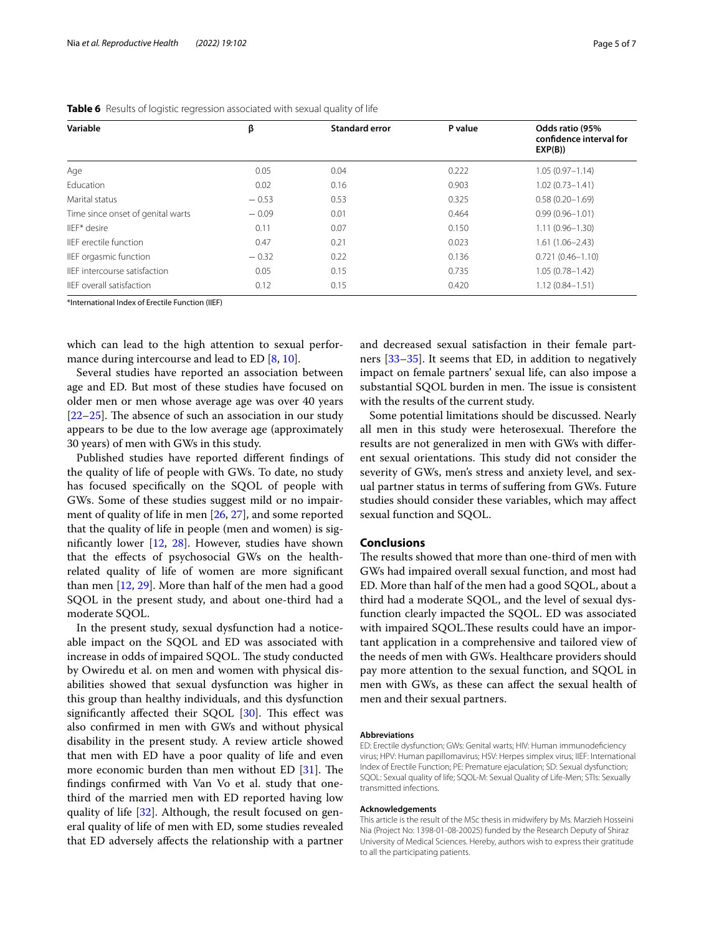| Variable                          | β       | <b>Standard error</b> | P value | Odds ratio (95%<br>confidence interval for<br>EXP(B)) |
|-----------------------------------|---------|-----------------------|---------|-------------------------------------------------------|
| Age                               | 0.05    | 0.04                  | 0.222   | $1.05(0.97 - 1.14)$                                   |
| Education                         | 0.02    | 0.16                  | 0.903   | $1.02(0.73 - 1.41)$                                   |
| Marital status                    | $-0.53$ | 0.53                  | 0.325   | $0.58(0.20 - 1.69)$                                   |
| Time since onset of genital warts | $-0.09$ | 0.01                  | 0.464   | $0.99(0.96 - 1.01)$                                   |
| IIFF* desire                      | 0.11    | 0.07                  | 0.150   | $1.11(0.96 - 1.30)$                                   |
| IFF erectile function             | 0.47    | 0.21                  | 0.023   | $1.61(1.06 - 2.43)$                                   |
| IIEF orgasmic function            | $-0.32$ | 0.22                  | 0.136   | $0.721(0.46 - 1.10)$                                  |
| IIFF intercourse satisfaction     | 0.05    | 0.15                  | 0.735   | $1.05(0.78 - 1.42)$                                   |
| <b>IFF</b> overall satisfaction   | 0.12    | 0.15                  | 0.420   | $1.12(0.84 - 1.51)$                                   |

<span id="page-4-0"></span>**Table 6** Results of logistic regression associated with sexual quality of life

\*International Index of Erectile Function (IIEF)

which can lead to the high attention to sexual perfor-mance during intercourse and lead to ED [[8,](#page-5-7) [10\]](#page-5-8).

Several studies have reported an association between age and ED. But most of these studies have focused on older men or men whose average age was over 40 years  $[22–25]$  $[22–25]$  $[22–25]$  $[22–25]$ . The absence of such an association in our study appears to be due to the low average age (approximately 30 years) of men with GWs in this study.

Published studies have reported diferent fndings of the quality of life of people with GWs. To date, no study has focused specifcally on the SQOL of people with GWs. Some of these studies suggest mild or no impairment of quality of life in men [[26,](#page-5-22) [27](#page-5-23)], and some reported that the quality of life in people (men and women) is signifcantly lower [\[12](#page-5-10), [28\]](#page-5-24). However, studies have shown that the efects of psychosocial GWs on the healthrelated quality of life of women are more signifcant than men [[12,](#page-5-10) [29](#page-5-25)]. More than half of the men had a good SQOL in the present study, and about one-third had a moderate SQOL.

In the present study, sexual dysfunction had a noticeable impact on the SQOL and ED was associated with increase in odds of impaired SQOL. The study conducted by Owiredu et al. on men and women with physical disabilities showed that sexual dysfunction was higher in this group than healthy individuals, and this dysfunction significantly affected their SQOL  $[30]$  $[30]$ . This effect was also confrmed in men with GWs and without physical disability in the present study. A review article showed that men with ED have a poor quality of life and even more economic burden than men without ED  $[31]$  $[31]$ . The fndings confrmed with Van Vo et al. study that onethird of the married men with ED reported having low quality of life [\[32\]](#page-5-28). Although, the result focused on general quality of life of men with ED, some studies revealed that ED adversely afects the relationship with a partner and decreased sexual satisfaction in their female partners [[33](#page-6-0)[–35](#page-6-1)]. It seems that ED, in addition to negatively impact on female partners' sexual life, can also impose a substantial SQOL burden in men. The issue is consistent with the results of the current study.

Some potential limitations should be discussed. Nearly all men in this study were heterosexual. Therefore the results are not generalized in men with GWs with diferent sexual orientations. This study did not consider the severity of GWs, men's stress and anxiety level, and sexual partner status in terms of sufering from GWs. Future studies should consider these variables, which may afect sexual function and SQOL.

#### **Conclusions**

The results showed that more than one-third of men with GWs had impaired overall sexual function, and most had ED. More than half of the men had a good SQOL, about a third had a moderate SQOL, and the level of sexual dysfunction clearly impacted the SQOL. ED was associated with impaired SQOL.These results could have an important application in a comprehensive and tailored view of the needs of men with GWs. Healthcare providers should pay more attention to the sexual function, and SQOL in men with GWs, as these can afect the sexual health of men and their sexual partners.

#### **Abbreviations**

ED: Erectile dysfunction; GWs: Genital warts; HIV: Human immunodefciency virus; HPV: Human papillomavirus; HSV: Herpes simplex virus; IIEF: International Index of Erectile Function; PE: Premature ejaculation; SD: Sexual dysfunction; SQOL: Sexual quality of life; SQOL-M: Sexual Quality of Life-Men; STIs: Sexually transmitted infections.

#### **Acknowledgements**

This article is the result of the MSc thesis in midwifery by Ms. Marzieh Hosseini Nia (Project No: 1398-01-08-20025) funded by the Research Deputy of Shiraz University of Medical Sciences. Hereby, authors wish to express their gratitude to all the participating patients.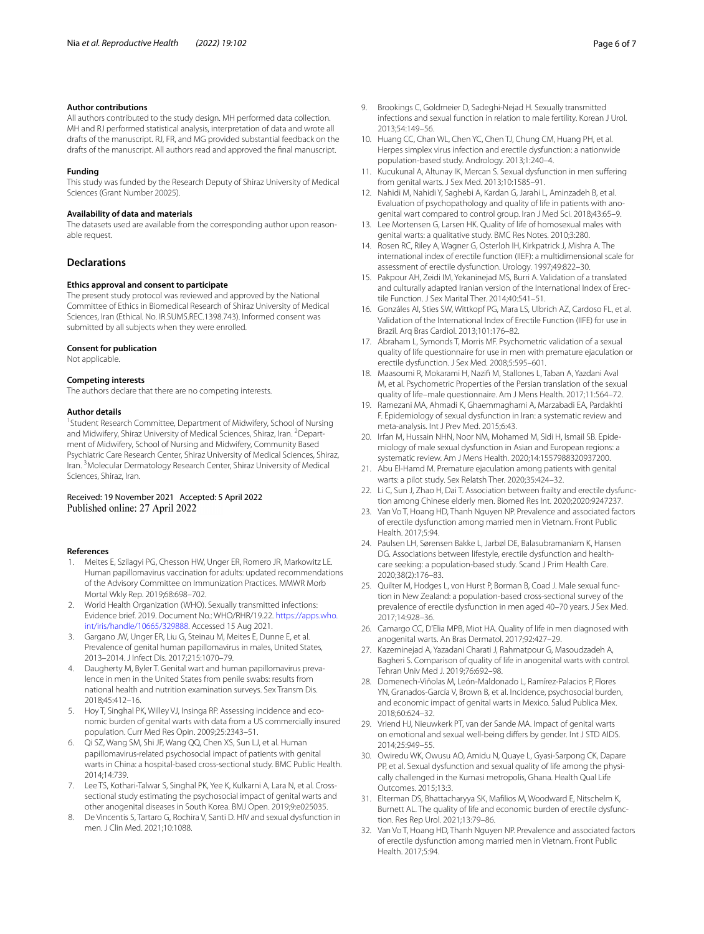#### **Author contributions**

All authors contributed to the study design. MH performed data collection. MH and RJ performed statistical analysis, interpretation of data and wrote all drafts of the manuscript. RJ, FR, and MG provided substantial feedback on the drafts of the manuscript. All authors read and approved the fnal manuscript.

#### **Funding**

This study was funded by the Research Deputy of Shiraz University of Medical Sciences (Grant Number 20025).

#### **Availability of data and materials**

The datasets used are available from the corresponding author upon reasonable request.

#### **Declarations**

#### **Ethics approval and consent to participate**

The present study protocol was reviewed and approved by the National Committee of Ethics in Biomedical Research of Shiraz University of Medical Sciences, Iran (Ethical. No. IR.SUMS.REC.1398.743). Informed consent was submitted by all subjects when they were enrolled.

#### **Consent for publication**

Not applicable.

#### **Competing interests**

The authors declare that there are no competing interests.

#### **Author details**

<sup>1</sup> Student Research Committee, Department of Midwifery, School of Nursing and Midwifery, Shiraz University of Medical Sciences, Shiraz, Iran. <sup>2</sup> Department of Midwifery, School of Nursing and Midwifery, Community Based Psychiatric Care Research Center, Shiraz University of Medical Sciences, Shiraz, Iran. <sup>3</sup> Molecular Dermatology Research Center, Shiraz University of Medical Sciences, Shiraz, Iran.

# Received: 19 November 2021 Accepted: 5 April 2022

#### **References**

- <span id="page-5-0"></span>1. Meites E, Szilagyi PG, Chesson HW, Unger ER, Romero JR, Markowitz LE. Human papillomavirus vaccination for adults: updated recommendations of the Advisory Committee on Immunization Practices. MMWR Morb Mortal Wkly Rep. 2019;68:698–702.
- <span id="page-5-1"></span>2. World Health Organization (WHO). Sexually transmitted infections: Evidence brief. 2019. Document No.: WHO/RHR/19.22. [https://apps.who.](https://apps.who.int/iris/handle/10665/329888) [int/iris/handle/10665/329888](https://apps.who.int/iris/handle/10665/329888). Accessed 15 Aug 2021.
- <span id="page-5-2"></span>3. Gargano JW, Unger ER, Liu G, Steinau M, Meites E, Dunne E, et al. Prevalence of genital human papillomavirus in males, United States, 2013–2014. J Infect Dis. 2017;215:1070–79.
- <span id="page-5-3"></span>4. Daugherty M, Byler T. Genital wart and human papillomavirus prevalence in men in the United States from penile swabs: results from national health and nutrition examination surveys. Sex Transm Dis. 2018;45:412–16.
- <span id="page-5-4"></span>5. Hoy T, Singhal PK, Willey VJ, Insinga RP. Assessing incidence and economic burden of genital warts with data from a US commercially insured population. Curr Med Res Opin. 2009;25:2343–51.
- <span id="page-5-5"></span>6. Qi SZ, Wang SM, Shi JF, Wang QQ, Chen XS, Sun LJ, et al. Human papillomavirus-related psychosocial impact of patients with genital warts in China: a hospital-based cross-sectional study. BMC Public Health. 2014;14:739.
- <span id="page-5-6"></span>7. Lee TS, Kothari-Talwar S, Singhal PK, Yee K, Kulkarni A, Lara N, et al. Crosssectional study estimating the psychosocial impact of genital warts and other anogenital diseases in South Korea. BMJ Open. 2019;9:e025035.
- <span id="page-5-7"></span>8. De Vincentis S, Tartaro G, Rochira V, Santi D. HIV and sexual dysfunction in men. J Clin Med. 2021;10:1088.
- 9. Brookings C, Goldmeier D, Sadeghi-Nejad H. Sexually transmitted infections and sexual function in relation to male fertility. Korean J Urol. 2013;54:149–56.
- <span id="page-5-8"></span>10. Huang CC, Chan WL, Chen YC, Chen TJ, Chung CM, Huang PH, et al. Herpes simplex virus infection and erectile dysfunction: a nationwide population-based study. Andrology. 2013;1:240–4.
- <span id="page-5-9"></span>11. Kucukunal A, Altunay IK, Mercan S. Sexual dysfunction in men sufering from genital warts. J Sex Med. 2013;10:1585–91.
- <span id="page-5-10"></span>12. Nahidi M, Nahidi Y, Saghebi A, Kardan G, Jarahi L, Aminzadeh B, et al. Evaluation of psychopathology and quality of life in patients with anogenital wart compared to control group. Iran J Med Sci. 2018;43:65–9.
- <span id="page-5-11"></span>13. Lee Mortensen G, Larsen HK. Quality of life of homosexual males with genital warts: a qualitative study. BMC Res Notes. 2010;3:280.
- <span id="page-5-12"></span>14. Rosen RC, Riley A, Wagner G, Osterloh IH, Kirkpatrick J, Mishra A. The international index of erectile function (IIEF): a multidimensional scale for assessment of erectile dysfunction. Urology. 1997;49:822–30.
- <span id="page-5-13"></span>15. Pakpour AH, Zeidi IM, Yekaninejad MS, Burri A. Validation of a translated and culturally adapted Iranian version of the International Index of Erectile Function. J Sex Marital Ther. 2014;40:541–51.
- <span id="page-5-14"></span>16. Gonzáles AI, Sties SW, Wittkopf PG, Mara LS, Ulbrich AZ, Cardoso FL, et al. Validation of the International Index of Erectile Function (IIFE) for use in Brazil. Arq Bras Cardiol. 2013;101:176–82.
- <span id="page-5-15"></span>17. Abraham L, Symonds T, Morris MF. Psychometric validation of a sexual quality of life questionnaire for use in men with premature ejaculation or erectile dysfunction. J Sex Med. 2008;5:595–601.
- <span id="page-5-16"></span>18. Maasoumi R, Mokarami H, Nazif M, Stallones L, Taban A, Yazdani Aval M, et al. Psychometric Properties of the Persian translation of the sexual quality of life–male questionnaire. Am J Mens Health. 2017;11:564–72.
- <span id="page-5-17"></span>19. Ramezani MA, Ahmadi K, Ghaemmaghami A, Marzabadi EA, Pardakhti F. Epidemiology of sexual dysfunction in Iran: a systematic review and meta-analysis. Int J Prev Med. 2015;6:43.
- <span id="page-5-18"></span>20. Irfan M, Hussain NHN, Noor NM, Mohamed M, Sidi H, Ismail SB. Epidemiology of male sexual dysfunction in Asian and European regions: a systematic review. Am J Mens Health. 2020;14:1557988320937200.
- <span id="page-5-19"></span>21. Abu El-Hamd M. Premature ejaculation among patients with genital warts: a pilot study. Sex Relatsh Ther. 2020;35:424–32.
- <span id="page-5-20"></span>22. Li C, Sun J, Zhao H, Dai T. Association between frailty and erectile dysfunction among Chinese elderly men. Biomed Res Int. 2020;2020:9247237.
- 23. Van Vo T, Hoang HD, Thanh Nguyen NP. Prevalence and associated factors of erectile dysfunction among married men in Vietnam. Front Public Health. 2017;5:94.
- 24. Paulsen LH, Sørensen Bakke L, Jarbøl DE, Balasubramaniam K, Hansen DG. Associations between lifestyle, erectile dysfunction and healthcare seeking: a population-based study. Scand J Prim Health Care. 2020;38(2):176–83.
- <span id="page-5-21"></span>25. Quilter M, Hodges L, von Hurst P, Borman B, Coad J. Male sexual function in New Zealand: a population-based cross-sectional survey of the prevalence of erectile dysfunction in men aged 40–70 years. J Sex Med. 2017;14:928–36.
- <span id="page-5-22"></span>26. Camargo CC, D'Elia MPB, Miot HA. Quality of life in men diagnosed with anogenital warts. An Bras Dermatol. 2017;92:427–29.
- <span id="page-5-23"></span>27. Kazeminejad A, Yazadani Charati J, Rahmatpour G, Masoudzadeh A, Bagheri S. Comparison of quality of life in anogenital warts with control. Tehran Univ Med J. 2019;76:692–98.
- <span id="page-5-24"></span>28. Domenech-Viñolas M, León-Maldonado L, Ramírez-Palacios P, Flores YN, Granados-García V, Brown B, et al. Incidence, psychosocial burden, and economic impact of genital warts in Mexico. Salud Publica Mex. 2018;60:624–32.
- <span id="page-5-25"></span>29. Vriend HJ, Nieuwkerk PT, van der Sande MA. Impact of genital warts on emotional and sexual well-being difers by gender. Int J STD AIDS. 2014;25:949–55.
- <span id="page-5-26"></span>30. Owiredu WK, Owusu AO, Amidu N, Quaye L, Gyasi-Sarpong CK, Dapare PP, et al. Sexual dysfunction and sexual quality of life among the physically challenged in the Kumasi metropolis, Ghana. Health Qual Life Outcomes. 2015;13:3.
- <span id="page-5-27"></span>31. Elterman DS, Bhattacharyya SK, Maflios M, Woodward E, Nitschelm K, Burnett AL. The quality of life and economic burden of erectile dysfunction. Res Rep Urol. 2021;13:79–86.
- <span id="page-5-28"></span>32. Van Vo T, Hoang HD, Thanh Nguyen NP. Prevalence and associated factors of erectile dysfunction among married men in Vietnam. Front Public Health. 2017;5:94.